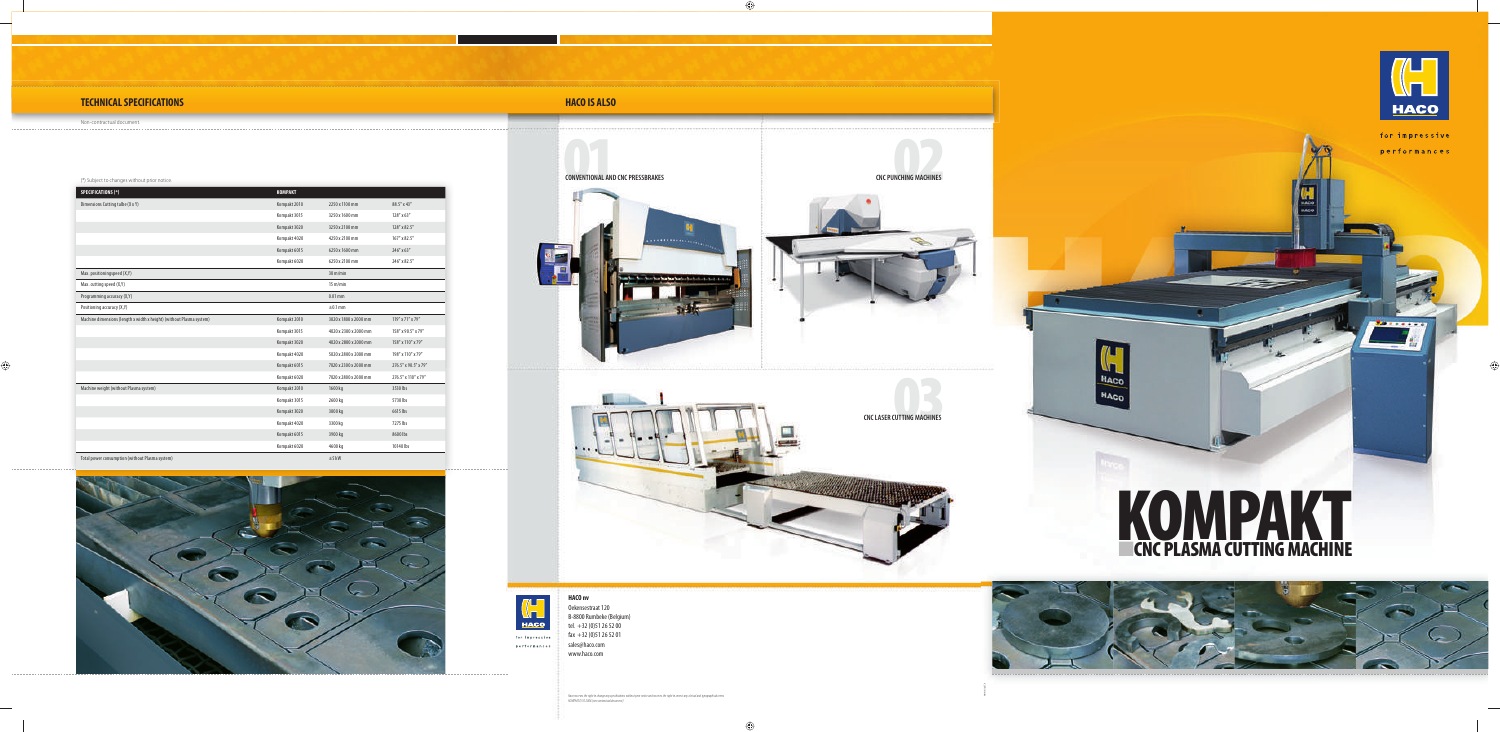www.visual.be

**EXECUTING MACHINES CNC LASER CUTTING MACHINES**







performances

## **TECHNICAL SPECIFICATIONS**



HACO HACO



| <b>SPECIFICATIONS (*)</b>                                            | <b>KOMPAKT</b> |                       |                      |
|----------------------------------------------------------------------|----------------|-----------------------|----------------------|
| Dimensions Cutting talbe (X x Y)                                     | Kompakt 2010   | 2250 x 1100 mm        | 88.5" x 43"          |
|                                                                      | Kompakt 3015   | 3250 x 1600 mm        | 128" x 63"           |
|                                                                      | Kompakt 3020   | 3250 x 2100 mm        | 128" x 82.5"         |
|                                                                      | Kompakt 4020   | 4250 x 2100 mm        | 167" x 82.5"         |
|                                                                      | Kompakt 6015   | 6250 x 1600 mm        | 246" x 63"           |
|                                                                      | Kompakt 6020   | 6250 x 2100 mm        | 246" x 82.5"         |
| Max. positioningspeed (X,Y)                                          |                | $30 \text{ m/min}$    |                      |
| Max. cutting speed (X,Y)                                             |                | $15 \text{ m/min}$    |                      |
| Programming accuracy (X,Y)                                           |                | $0.01$ mm             |                      |
| Positioning accuracy (X,Y)                                           |                | $\pm 0.1$ mm          |                      |
| Machine dimensions (length x width x height) (without Plasma system) | Kompakt 2010   | 3020 x 1800 x 2000 mm | 119" x 71" x 79"     |
|                                                                      | Kompakt 3015   | 4020 x 2300 x 2000 mm | 158" x 90.5" x 79"   |
|                                                                      | Kompakt 3020   | 4020 x 2800 x 2000 mm | 158" x 110" x 79"    |
|                                                                      | Kompakt 4020   | 5020 x 2800 x 2000 mm | 198" x 110" x 79"    |
|                                                                      | Kompakt 6015   | 7020 x 2300 x 2000 mm | 276.5" x 90.5" x 79" |
|                                                                      | Kompakt 6020   | 7020 x 2800 x 2000 mm | 276.5" x 110" x 79"  |
| Machine weight (without Plasma system)                               | Kompakt 2010   | 1600 kg               | 3530 lbs             |
|                                                                      | Kompakt 3015   | 2600 kg               | 5730 lbs             |
|                                                                      | Kompakt 3020   | 3000 kg               | 6615 lbs             |
|                                                                      | Kompakt 4020   | 3300 kg               | 7275 lbs             |
|                                                                      | Kompakt 6015   | 3900 kg               | 8600 lbs             |
|                                                                      | Kompakt 6020   | 4600 kg               | 10140 lbs            |
| Total power consumption (without Plasma system)                      |                | $±5$ kW               |                      |



#### **HACO IS ALSO**

Non-contractual document.

#### (\*) Subject to changes without prior notice.

**HACO nv**

Haco reserves the right to change any specifications without prior notice and reserves the right to correct any clerical and typographical errors.<br>KOMPAKT.E/10.2008 (non contractual document)



for impressive performances

Oekensestraat 120 B-8800 Rumbeke (Belgium) tel. +32 (0)51 26 52 00  $\frac{1}{2}$  fax +32 (0) 51 26 52 01 sales@haco.com www.haco.com